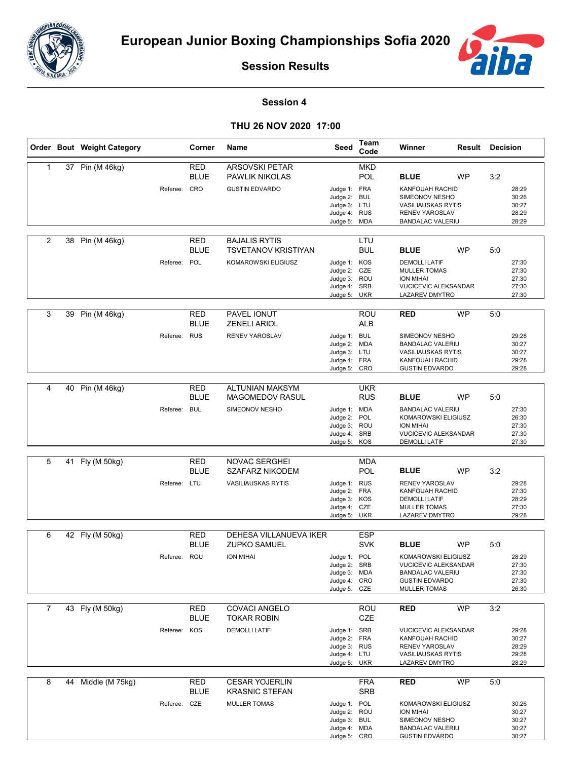



**Session Results**

## **Session 4**

**THU 26 NOV 2020 17:00**

|   |    | Order Bout Weight Category | Corner                                       | Name                                                                        | Seed                                                                         | Team<br>Code             | Winner                                                                                                                                              | <b>Result Decision</b> |     |                                           |
|---|----|----------------------------|----------------------------------------------|-----------------------------------------------------------------------------|------------------------------------------------------------------------------|--------------------------|-----------------------------------------------------------------------------------------------------------------------------------------------------|------------------------|-----|-------------------------------------------|
| 1 |    | 37 Pin (M 46kg)            | RED<br><b>BLUE</b><br>Referee: CRO           | <b>ARSOVSKI PETAR</b><br><b>PAWLIK NIKOLAS</b><br><b>GUSTIN EDVARDO</b>     | Judge 1: FRA<br>Judge 2: BUL<br>Judge 3: LTU<br>Judge 4: RUS<br>Judge 5: MDA | <b>MKD</b><br><b>POL</b> | <b>BLUE</b><br>KANFOUAH RACHID<br>SIMEONOV NESHO<br><b>VASILIAUSKAS RYTIS</b><br><b>RENEV YAROSLAV</b><br><b>BANDALAC VALERIU</b>                   | <b>WP</b>              | 3:2 | 28:29<br>30:26<br>30:27<br>28:29<br>28:29 |
| 2 | 38 | Pin (M 46kg)               | RED<br><b>BLUE</b><br>Referee: POL           | <b>BAJALIS RYTIS</b><br><b>TSVETANOV KRISTIYAN</b><br>KOMAROWSKI ELIGIUSZ   | Judge 1: KOS<br>Judge 2: CZE<br>Judge 3: ROU<br>Judge 4: SRB<br>Judge 5:     | LTU<br>BUL<br>UKR        | <b>BLUE</b><br><b>DEMOLLI LATIF</b><br><b>MULLER TOMAS</b><br><b>ION MIHAI</b><br><b>VUCICEVIC ALEKSANDAR</b><br>LAZAREV DMYTRO                     | <b>WP</b>              | 5:0 | 27:30<br>27:30<br>27:30<br>27:30<br>27:30 |
| 3 |    | 39 Pin (M 46kg)            | RED<br><b>BLUE</b><br>Referee: RUS           | PAVEL IONUT<br><b>ZENELI ARIOL</b><br>RENEV YAROSLAV                        | Judge 1: BUL<br>Judge 2: MDA<br>Judge 3: LTU<br>Judge 4: FRA<br>Judge 5: CRO | ROU<br><b>ALB</b>        | <b>RED</b><br>SIMEONOV NESHO<br><b>BANDALAC VALERIU</b><br><b>VASILIAUSKAS RYTIS</b><br>KANFOUAH RACHID<br><b>GUSTIN EDVARDO</b>                    | <b>WP</b>              | 5:0 | 29:28<br>30:27<br>30:27<br>29:28<br>29:28 |
| 4 | 40 | Pin (M 46kg)               | RED<br><b>BLUE</b><br><b>BUL</b><br>Referee: | <b>ALTUNIAN MAKSYM</b><br><b>MAGOMEDOV RASUL</b><br>SIMEONOV NESHO          | Judge 1: MDA<br>Judge 2: POL<br>Judge 3: ROU<br>Judge 4: SRB<br>Judge 5: KOS | <b>UKR</b><br><b>RUS</b> | <b>BLUE</b><br><b>BANDALAC VALERIU</b><br>KOMAROWSKI ELIGIUSZ<br><b>ION MIHAI</b><br>VUCICEVIC ALEKSANDAR<br><b>DEMOLLI LATIF</b>                   | <b>WP</b>              | 5:0 | 27:30<br>26:30<br>27:30<br>27:30<br>27:30 |
| 5 |    | 41 Fly (M 50kg)            | <b>RED</b><br><b>BLUE</b><br>Referee: LTU    | <b>NOVAC SERGHEI</b><br><b>SZAFARZ NIKODEM</b><br><b>VASILIAUSKAS RYTIS</b> | Judge 1: RUS<br>Judge 2: FRA<br>Judge 3: KOS<br>Judge 4: CZE<br>Judge 5: UKR | <b>MDA</b><br>POL        | <b>BLUE</b><br><b>RENEV YAROSLAV</b><br>KANFOUAH RACHID<br><b>DEMOLLI LATIF</b><br><b>MULLER TOMAS</b><br><b>LAZAREV DMYTRO</b>                     | <b>WP</b>              | 3:2 | 29:28<br>27:30<br>28:29<br>27:30<br>29:28 |
| 6 |    | 42 Fly (M 50kg)            | <b>RED</b><br><b>BLUE</b><br>Referee: ROU    | <b>DEHESA VILLANUEVA IKER</b><br><b>ZUPKO SAMUEL</b><br><b>ION MIHAI</b>    | Judge 1: POL<br>Judge 2: SRB<br>Judge 3: MDA<br>Judge 4: CRO<br>Judge 5: CZE | <b>ESP</b><br><b>SVK</b> | <b>BLUE</b><br><b>KOMAROWSKI ELIGIUSZ</b><br><b>VUCICEVIC ALEKSANDAR</b><br><b>BANDALAC VALERIU</b><br><b>GUSTIN EDVARDO</b><br><b>MULLER TOMAS</b> | WP                     | 5:0 | 28:29<br>27:30<br>27:30<br>27:30<br>26:30 |
| 7 |    | 43 Fly (M 50kg)            | RED<br><b>BLUE</b><br>Referee: KOS           | COVACI ANGELO<br><b>TOKAR ROBIN</b><br><b>DEMOLLI LATIF</b>                 | Judge 1: SRB<br>Judge 2: FRA<br>Judge 3: RUS<br>Judge 4: LTU<br>Judge 5: UKR | ROU<br>CZE               | <b>RED</b><br><b>VUCICEVIC ALEKSANDAR</b><br>KANFOUAH RACHID<br>RENEV YAROSLAV<br><b>VASILIAUSKAS RYTIS</b><br>LAZAREV DMYTRO                       | <b>WP</b>              | 3:2 | 29:28<br>30:27<br>28:29<br>29:28<br>28:29 |
| 8 |    | 44 Middle (M 75kg)         | <b>RED</b><br><b>BLUE</b><br>Referee: CZE    | <b>CESAR YOJERLIN</b><br><b>KRASNIC STEFAN</b><br><b>MULLER TOMAS</b>       | Judge 1: POL<br>Judge 2: ROU<br>Judge 3: BUL<br>Judge 4: MDA<br>Judge 5: CRO | <b>FRA</b><br><b>SRB</b> | <b>RED</b><br>KOMAROWSKI ELIGIUSZ<br>ION MIHAI<br>SIMEONOV NESHO<br><b>BANDALAC VALERIU</b><br><b>GUSTIN EDVARDO</b>                                | <b>WP</b>              | 5:0 | 30:26<br>30:27<br>30:27<br>30:27<br>30:27 |